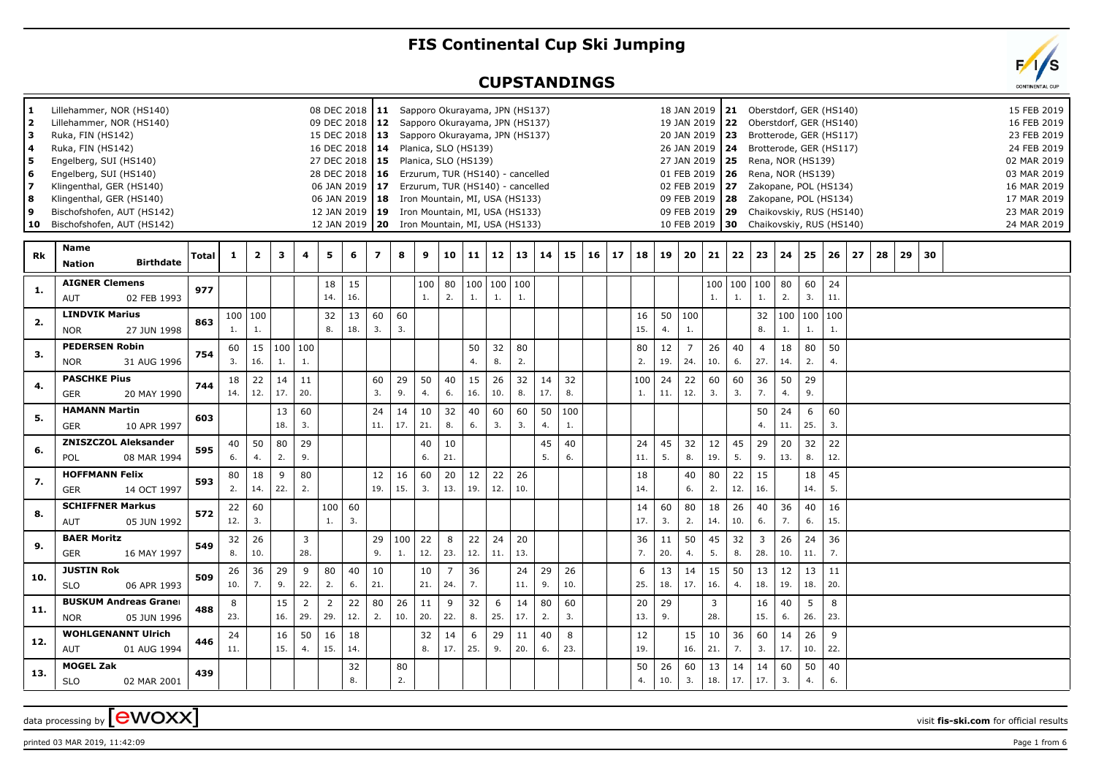## **FIS Continental Cup Ski Jumping**

## **CUPSTANDINGS**

| 1.<br>2<br>з<br>4<br>5.<br>6<br>7<br>8<br>9<br>10 | Lillehammer, NOR (HS140)<br>Lillehammer, NOR (HS140)<br>Ruka, FIN (HS142)<br>Ruka, FIN (HS142)<br>Engelberg, SUI (HS140)<br>Engelberg, SUI (HS140)<br>Klingenthal, GER (HS140)<br>Klingenthal, GER (HS140)<br>Bischofshofen, AUT (HS142)<br>Bischofshofen, AUT (HS142) |       |              |                         |           |                       |           | 08 DEC 2018   11 Sapporo Okurayama, JPN (HS137)<br>09 DEC 2018   12 Sapporo Okurayama, JPN (HS137)<br>15 DEC 2018   13 Sapporo Okurayama, JPN (HS137)<br>16 DEC 2018   14 Planica, SLO (HS139)<br>27 DEC 2018   15 Planica, SLO (HS139)<br>28 DEC 2018 16 Erzurum, TUR (HS140) - cancelled<br>06 JAN 2019   17 Erzurum, TUR (HS140) - cancelled<br>06 JAN 2019   18 Iron Mountain, MI, USA (HS133)<br>12 JAN 2019   19 Iron Mountain, MI, USA (HS133)<br>12 JAN 2019   20 Iron Mountain, MI, USA (HS133) |           |           |           |                       |           |                   |              |           |           |           |    |           |           | 18 JAN 2019<br>19 JAN 2019<br>20 JAN 2019<br>01 FEB 2019<br>10 FEB 2019 | 26 JAN 2019   24<br>27 JAN 2019   25<br>02 FEB 2019 27 |                        | 21 Oberstdorf, GER (HS140)<br>22 Oberstdorf, GER (HS140)<br>23 Brotterode, GER (HS117)<br>Brotterode, GER (HS117)<br>Rena, NOR (HS139)<br><b>26</b> Rena, NOR (HS139)<br>Zakopane, POL (HS134)<br>09 FEB 2019   28  Zakopane, POL (HS134)<br>09 FEB 2019   29 Chaikovskiy, RUS (HS140)<br>30 Chaikovskiy, RUS (HS140) |                       |           |           |    |    |    |    |  | 15 FEB 2019<br>16 FEB 2019<br>23 FEB 2019<br>24 FEB 2019<br>02 MAR 2019<br>03 MAR 2019<br>16 MAR 2019<br>17 MAR 2019<br>23 MAR 2019<br>24 MAR 2019 |
|---------------------------------------------------|------------------------------------------------------------------------------------------------------------------------------------------------------------------------------------------------------------------------------------------------------------------------|-------|--------------|-------------------------|-----------|-----------------------|-----------|----------------------------------------------------------------------------------------------------------------------------------------------------------------------------------------------------------------------------------------------------------------------------------------------------------------------------------------------------------------------------------------------------------------------------------------------------------------------------------------------------------|-----------|-----------|-----------|-----------------------|-----------|-------------------|--------------|-----------|-----------|-----------|----|-----------|-----------|-------------------------------------------------------------------------|--------------------------------------------------------|------------------------|-----------------------------------------------------------------------------------------------------------------------------------------------------------------------------------------------------------------------------------------------------------------------------------------------------------------------|-----------------------|-----------|-----------|----|----|----|----|--|----------------------------------------------------------------------------------------------------------------------------------------------------|
| <b>Rk</b>                                         | Name<br><b>Birthdate</b><br><b>Nation</b>                                                                                                                                                                                                                              | Total | $\mathbf{1}$ | $\overline{\mathbf{2}}$ | 3         | 4                     | 5         | 6                                                                                                                                                                                                                                                                                                                                                                                                                                                                                                        | 7         | 8         | 9         | 10                    | 11        |                   | $12 \mid 13$ | 14        | 15        | $16 \mid$ | 17 | 18        | 19        | 20                                                                      | 21                                                     | 22                     | 23                                                                                                                                                                                                                                                                                                                    | 24                    | 25        | 26        | 27 | 28 | 29 | 30 |  |                                                                                                                                                    |
| 1.                                                | <b>AIGNER Clemens</b><br>AUT<br>02 FEB 1993                                                                                                                                                                                                                            | 977   |              |                         |           |                       | 18<br>14. | 15<br>16.                                                                                                                                                                                                                                                                                                                                                                                                                                                                                                |           |           | 100<br>1. | 80<br>2.              | 1.        | 100 100 100<br>1. | 1.           |           |           |           |    |           |           |                                                                         | 100<br>1.                                              | $\vert$ 100<br>1.      | 100<br>1.                                                                                                                                                                                                                                                                                                             | 80<br>2.              | 60<br>3.  | 24<br>11. |    |    |    |    |  |                                                                                                                                                    |
| 2.                                                | <b>LINDVIK Marius</b><br><b>NOR</b><br>27 JUN 1998                                                                                                                                                                                                                     | 863   | 1.           | 100 100                 |           |                       | 32<br>8.  | 13<br>18.                                                                                                                                                                                                                                                                                                                                                                                                                                                                                                | 60<br>3.  | 60<br>3.  |           |                       |           |                   |              |           |           |           |    | 16<br>15. | 4.        | 50   100<br>$\mathbf{1}$ .                                              |                                                        |                        | 32<br>8.                                                                                                                                                                                                                                                                                                              | 100   100   100<br>1. | 1.        | 1.        |    |    |    |    |  |                                                                                                                                                    |
| 3.                                                | <b>PEDERSEN Robin</b><br><b>NOR</b><br>31 AUG 1996                                                                                                                                                                                                                     | 754   | 60<br>3.     | 15<br>16.               | 1.        | 100 100<br>1.         |           |                                                                                                                                                                                                                                                                                                                                                                                                                                                                                                          |           |           |           |                       | 50<br>4.  | 32<br>8.          | 80<br>2.     |           |           |           |    | 80<br>2.  | 12<br>19. | $\overline{7}$<br>24.                                                   | 26<br>10.                                              | 40<br>6.               | $\overline{4}$<br>27.                                                                                                                                                                                                                                                                                                 | 18<br>14.             | 80<br>2.  | 50<br>4.  |    |    |    |    |  |                                                                                                                                                    |
| 4.                                                | <b>PASCHKE Pius</b><br>GER<br>20 MAY 1990                                                                                                                                                                                                                              | 744   | 18<br>14.    | 22<br>12.               | 14<br>17. | 11<br>20.             |           |                                                                                                                                                                                                                                                                                                                                                                                                                                                                                                          | 60<br>3.  | 29<br>9.  | 50<br>4.  | 40<br>6.              | 15<br>16. | 26<br>10.         | 32<br>8.     | 14<br>17. | 32<br>8.  |           |    | 100<br>1. | 24<br>11. | 22<br>12.                                                               | 60<br>3.                                               | 60<br>3.               | 36<br>7.                                                                                                                                                                                                                                                                                                              | 50<br>4.              | 29<br>9.  |           |    |    |    |    |  |                                                                                                                                                    |
| 5.                                                | <b>HAMANN Martin</b><br><b>GER</b><br>10 APR 1997                                                                                                                                                                                                                      | 603   |              |                         | 13<br>18. | 60<br>3.              |           |                                                                                                                                                                                                                                                                                                                                                                                                                                                                                                          | 24<br>11. | 14<br>17. | 10<br>21. | 32<br>8.              | 40<br>6.  | 60<br>3.          | 60<br>3.     | 50<br>4.  | 100<br>1. |           |    |           |           |                                                                         |                                                        |                        | 50<br>4.                                                                                                                                                                                                                                                                                                              | 24<br>11.             | 6<br>25.  | 60<br>3.  |    |    |    |    |  |                                                                                                                                                    |
| 6.                                                | <b>ZNISZCZOL Aleksander</b><br><b>POL</b><br>08 MAR 1994                                                                                                                                                                                                               | 595   | 40<br>6.     | 50<br>4.                | 80<br>2.  | 29<br>9.              |           |                                                                                                                                                                                                                                                                                                                                                                                                                                                                                                          |           |           | 40<br>6.  | 10<br>21.             |           |                   |              | 45<br>5.  | 40<br>6.  |           |    | 24<br>11. | 45<br>5.  | 32<br>8.                                                                | 12<br>19.                                              | 45<br>5.               | 29<br>9.                                                                                                                                                                                                                                                                                                              | 20<br>13.             | 32<br>8.  | 22<br>12. |    |    |    |    |  |                                                                                                                                                    |
| 7.                                                | <b>HOFFMANN Felix</b><br><b>GER</b><br>14 OCT 1997                                                                                                                                                                                                                     | 593   | 80<br>2.     | 18<br>14.               | 9<br>22.  | 80<br>2.              |           |                                                                                                                                                                                                                                                                                                                                                                                                                                                                                                          | 12<br>19. | 16<br>15. | 60<br>3.  | 20<br>13.             | 12<br>19. | 22<br>12.         | 26<br>10.    |           |           |           |    | 18<br>14. |           | 40<br>6.                                                                | 80<br>2.                                               | 22<br>12.              | 15<br>16.                                                                                                                                                                                                                                                                                                             |                       | 18<br>14. | 45<br>5.  |    |    |    |    |  |                                                                                                                                                    |
| 8.                                                | <b>SCHIFFNER Markus</b><br>AUT<br>05 JUN 1992                                                                                                                                                                                                                          | 572   | 22<br>12.    | 60<br>3.                |           |                       | 100<br>1. | 60<br>$\overline{3}$ .                                                                                                                                                                                                                                                                                                                                                                                                                                                                                   |           |           |           |                       |           |                   |              |           |           |           |    | 14<br>17. | 60<br>3.  | 80<br>2.                                                                | 18<br>14.                                              | 26<br>10.              | 40<br>6.                                                                                                                                                                                                                                                                                                              | 36<br>7.              | 40<br>6.  | 16<br>15. |    |    |    |    |  |                                                                                                                                                    |
| 9.                                                | <b>BAER Moritz</b><br>GER<br>16 MAY 1997                                                                                                                                                                                                                               | 549   | 32<br>8.     | 26<br>10.               |           | $\overline{3}$<br>28. |           |                                                                                                                                                                                                                                                                                                                                                                                                                                                                                                          | 29<br>9.  | 100<br>1. | 22<br>12. | 8<br>23.              | 22<br>12. | 24<br>11.         | 20<br>13.    |           |           |           |    | 36<br>7.  | 11<br>20. | 50<br>4.                                                                | 45<br>5.                                               | 32<br>8.               | 3 <sup>7</sup><br>28.                                                                                                                                                                                                                                                                                                 | 26<br>10.             | 24<br>11. | 36<br>7.  |    |    |    |    |  |                                                                                                                                                    |
| 10.                                               | <b>JUSTIN Rok</b><br><b>SLO</b><br>06 APR 1993                                                                                                                                                                                                                         | 509   | 26<br>10.    | 36<br>7.                | 29<br>9.  | 9<br>22.              | 80<br>2.  | 40<br>6.                                                                                                                                                                                                                                                                                                                                                                                                                                                                                                 | 10<br>21. |           | 10<br>21. | $\overline{7}$<br>24. | 36<br>7.  |                   | 24<br>11.    | 29<br>9.  | 26<br>10. |           |    | 6<br>25.  | 13<br>18. | 14<br>17.                                                               | 15<br>16.                                              | 50<br>$\overline{4}$ . | 13<br>18.                                                                                                                                                                                                                                                                                                             | 12<br>19.             | 13<br>18. | 11<br>20. |    |    |    |    |  |                                                                                                                                                    |
| 11.                                               | <b>BUSKUM Andreas Graner</b><br>05 JUN 1996<br><b>NOR</b>                                                                                                                                                                                                              | 488   | 8<br>23.     |                         | 15<br>16. | $\overline{2}$<br>29. | 2<br>29.  | 22<br>12.                                                                                                                                                                                                                                                                                                                                                                                                                                                                                                | 80<br>2.  | 26<br>10. | 11<br>20. | 9<br>22.              | 32<br>8.  | 6<br>25.          | 14<br>17.    | 80<br>2.  | 60<br>3.  |           |    | 20<br>13. | 29<br>9.  |                                                                         | $\overline{3}$<br>28.                                  |                        | 16<br>15.                                                                                                                                                                                                                                                                                                             | 40<br>6.              | 5<br>26.  | 8<br>23.  |    |    |    |    |  |                                                                                                                                                    |
| 12.                                               | <b>WOHLGENANNT Ulrich</b><br>AUT<br>01 AUG 1994                                                                                                                                                                                                                        | 446   | 24<br>11.    |                         | 16<br>15. | 50<br>4.              | 16<br>15. | 18<br>14.                                                                                                                                                                                                                                                                                                                                                                                                                                                                                                |           |           | 32<br>8.  | 14<br>17.             | 6<br>25.  | 29<br>9.          | 11<br>20.    | 40<br>6.  | 8<br>23.  |           |    | 12<br>19. |           | 15<br>16.                                                               | 10<br>21.                                              | 36<br>7.               | 60<br>3.                                                                                                                                                                                                                                                                                                              | 14<br>17.             | 26<br>10. | 9<br>22.  |    |    |    |    |  |                                                                                                                                                    |
| 13.                                               | <b>MOGEL Zak</b><br><b>SLO</b><br>02 MAR 2001                                                                                                                                                                                                                          | 439   |              |                         |           |                       |           | 32<br>8.                                                                                                                                                                                                                                                                                                                                                                                                                                                                                                 |           | 80<br>2.  |           |                       |           |                   |              |           |           |           |    | 50<br>4.  | 26<br>10. | 60<br>3.                                                                | 13<br>18.                                              | 14<br>17.              | 14<br>17.                                                                                                                                                                                                                                                                                                             | 60<br>3.              | 50<br>4.  | 40<br>6.  |    |    |    |    |  |                                                                                                                                                    |

printed 03 MAR 2019, 11:42:09 **Page 1** from 6

data processing by **CWOXX** wisit **fis-ski.com** for official results

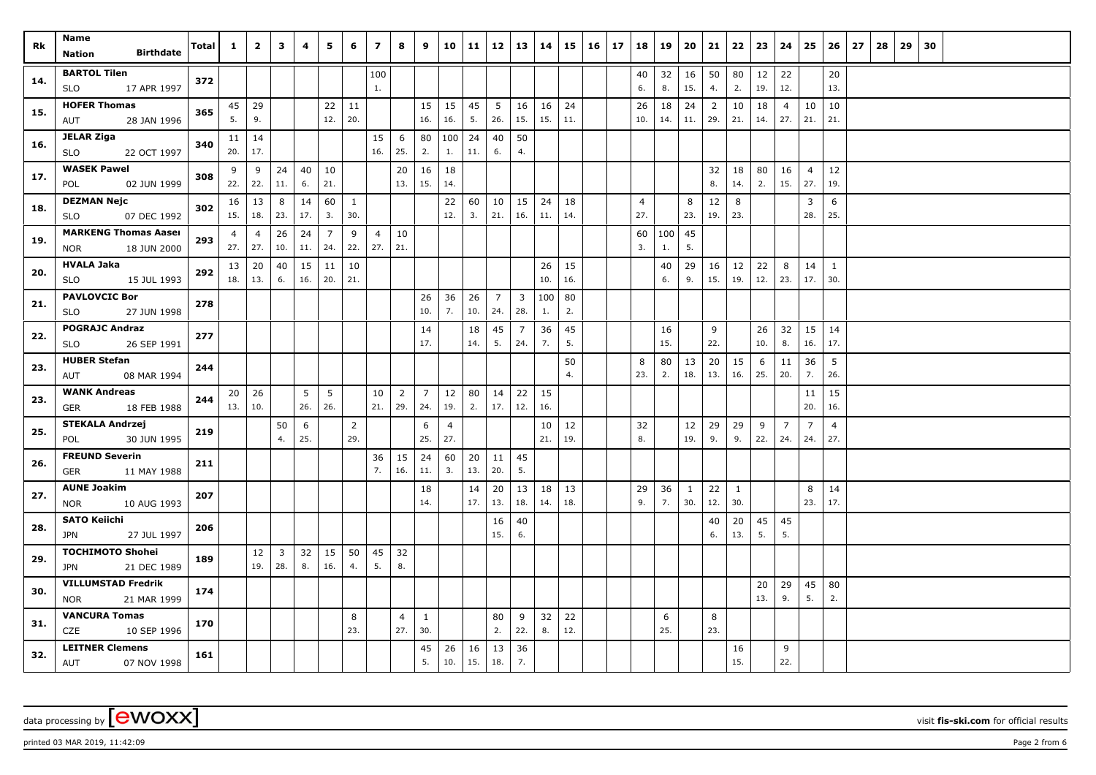printed 03 MAR 2019, 11:42:09 Page 2 from 6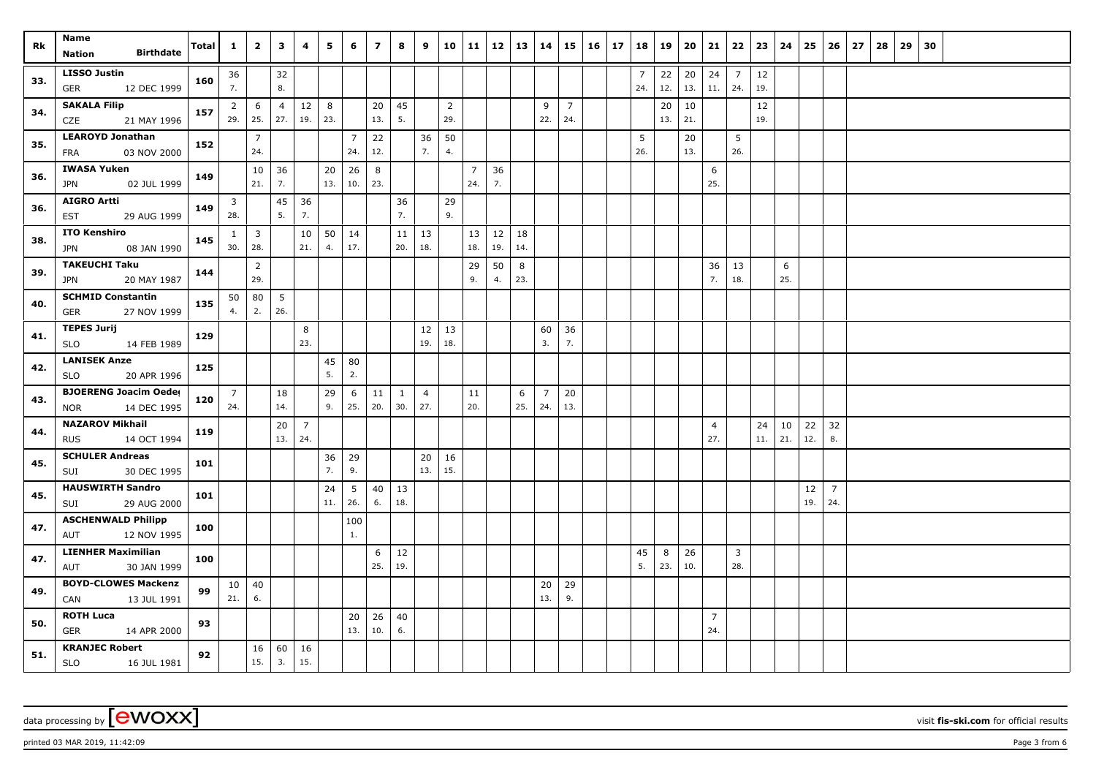| Rk  | Name<br><b>Birthdate</b><br>Nation              | Total | $\mathbf{1}$            | $\overline{2}$ | $\mathbf{3}$   | 4              | 5         | 6              | $\overline{ }$ | 8         | 9              | 10               | $11 \mid 12$   |     | 13  | 14             |                | $15 \mid 16 \mid$ | 17 | 18             | 19  | 20  | 21             | 22             | 23         | 24  | 25        | 26                    | 27 | 28 | 29 | 30 |  |  |
|-----|-------------------------------------------------|-------|-------------------------|----------------|----------------|----------------|-----------|----------------|----------------|-----------|----------------|------------------|----------------|-----|-----|----------------|----------------|-------------------|----|----------------|-----|-----|----------------|----------------|------------|-----|-----------|-----------------------|----|----|----|----|--|--|
|     | <b>LISSO Justin</b>                             |       | 36                      |                | 32             |                |           |                |                |           |                |                  |                |     |     |                |                |                   |    | $\overline{7}$ | 22  | 20  | 24             | $\overline{7}$ | $\vert$ 12 |     |           |                       |    |    |    |    |  |  |
| 33. | 12 DEC 1999<br>GER                              | 160   | 7.                      |                | 8.             |                |           |                |                |           |                |                  |                |     |     |                |                |                   |    | 24.            | 12. | 13. | 11.            | 24.            | 19.        |     |           |                       |    |    |    |    |  |  |
|     | <b>SAKALA Filip</b>                             |       | $\overline{2}$          | 6              | $\overline{4}$ | 12             | 8         |                | 20             | 45        |                | $\overline{2}$   |                |     |     | 9              | $\overline{7}$ |                   |    |                | 20  | 10  |                |                | 12         |     |           |                       |    |    |    |    |  |  |
| 34. | CZE<br>21 MAY 1996                              | 157   | 29.                     | 25.            | 27.            | 19.            | 23.       |                | 13.            | 5.        |                | 29.              |                |     |     | 22.            | 24.            |                   |    |                | 13. | 21. |                |                | 19.        |     |           |                       |    |    |    |    |  |  |
|     | <b>LEAROYD Jonathan</b>                         |       |                         | $\overline{7}$ |                |                |           | $\overline{7}$ | 22             |           | 36             | 50               |                |     |     |                |                |                   |    | 5              |     | 20  |                | 5              |            |     |           |                       |    |    |    |    |  |  |
| 35. | 03 NOV 2000<br>FRA                              | 152   |                         | 24.            |                |                |           | 24.            | 12.            |           | 7.             | $\overline{4}$ . |                |     |     |                |                |                   |    | 26.            |     | 13. |                | 26.            |            |     |           |                       |    |    |    |    |  |  |
| 36. | <b>IWASA Yuken</b>                              | 149   |                         | 10             | 36             |                | 20        | 26             | 8              |           |                |                  | $\overline{7}$ | 36  |     |                |                |                   |    |                |     |     | 6              |                |            |     |           |                       |    |    |    |    |  |  |
|     | <b>JPN</b><br>02 JUL 1999                       |       |                         | 21.            | 7.             |                | 13.       | 10.            | 23.            |           |                |                  | 24.            | 7.  |     |                |                |                   |    |                |     |     | 25.            |                |            |     |           |                       |    |    |    |    |  |  |
| 36. | <b>AIGRO Artti</b>                              | 149   | $\overline{\mathbf{3}}$ |                | 45             | 36             |           |                |                | 36        |                | 29               |                |     |     |                |                |                   |    |                |     |     |                |                |            |     |           |                       |    |    |    |    |  |  |
|     | 29 AUG 1999<br><b>EST</b>                       |       | 28.                     |                | 5.             | 7.             |           |                |                | 7.        |                | 9.               |                |     |     |                |                |                   |    |                |     |     |                |                |            |     |           |                       |    |    |    |    |  |  |
| 38. | <b>ITO Kenshiro</b>                             | 145   | $\mathbf{1}$            | $\overline{3}$ |                | 10             | 50        | 14             |                | 11        | 13             |                  | 13             | 12  | 18  |                |                |                   |    |                |     |     |                |                |            |     |           |                       |    |    |    |    |  |  |
|     | 08 JAN 1990<br><b>JPN</b>                       |       | 30.                     | 28.            |                | 21.            | 4.        | 17.            |                | 20.       | 18.            |                  | 18.            | 19. | 14. |                |                |                   |    |                |     |     |                |                |            |     |           |                       |    |    |    |    |  |  |
| 39. | <b>TAKEUCHI Taku</b>                            | 144   |                         | $\overline{2}$ |                |                |           |                |                |           |                |                  | 29             | 50  | 8   |                |                |                   |    |                |     |     | 36<br>7.       | 13             |            | 6   |           |                       |    |    |    |    |  |  |
|     | 20 MAY 1987<br><b>JPN</b>                       |       |                         | 29.            |                |                |           |                |                |           |                |                  | 9.             | 4.  | 23. |                |                |                   |    |                |     |     |                | 18.            |            | 25. |           |                       |    |    |    |    |  |  |
| 40. | <b>SCHMID Constantin</b><br>27 NOV 1999<br>GER  | 135   | 50<br>4.                | 80<br>2.       | 5<br>26.       |                |           |                |                |           |                |                  |                |     |     |                |                |                   |    |                |     |     |                |                |            |     |           |                       |    |    |    |    |  |  |
|     | <b>TEPES Jurij</b>                              |       |                         |                |                |                |           |                |                |           |                |                  |                |     |     |                |                |                   |    |                |     |     |                |                |            |     |           |                       |    |    |    |    |  |  |
| 41. | <b>SLO</b><br>14 FEB 1989                       | 129   |                         |                |                | 8<br>23.       |           |                |                |           | 12<br>19.      | 13<br>18.        |                |     |     | 60<br>3.       | 36<br>7.       |                   |    |                |     |     |                |                |            |     |           |                       |    |    |    |    |  |  |
|     | <b>LANISEK Anze</b>                             |       |                         |                |                |                | 45        | 80             |                |           |                |                  |                |     |     |                |                |                   |    |                |     |     |                |                |            |     |           |                       |    |    |    |    |  |  |
| 42. | 20 APR 1996<br><b>SLO</b>                       | 125   |                         |                |                |                | 5.        | 2.             |                |           |                |                  |                |     |     |                |                |                   |    |                |     |     |                |                |            |     |           |                       |    |    |    |    |  |  |
| 43. | <b>BJOERENG Joacim Oedes</b>                    | 120   | $\overline{7}$          |                | 18             |                | 29        | 6              | 11             | 1         | $\overline{4}$ |                  | 11             |     | 6   | $\overline{7}$ | 20             |                   |    |                |     |     |                |                |            |     |           |                       |    |    |    |    |  |  |
|     | 14 DEC 1995<br><b>NOR</b>                       |       | 24.                     |                | 14.            |                | 9.        | 25.            | 20.            | 30.       | 27.            |                  | 20.            |     | 25. | 24.            | 13.            |                   |    |                |     |     |                |                |            |     |           |                       |    |    |    |    |  |  |
| 44. | <b>NAZAROV Mikhail</b>                          | 119   |                         |                | 20             | $\overline{7}$ |           |                |                |           |                |                  |                |     |     |                |                |                   |    |                |     |     | $\overline{4}$ |                | 24         | 10  | 22        | 32                    |    |    |    |    |  |  |
|     | 14 OCT 1994<br><b>RUS</b>                       |       |                         |                | 13.            | 24.            |           |                |                |           |                |                  |                |     |     |                |                |                   |    |                |     |     | 27.            |                | 11.        | 21. | 12.       | 8.                    |    |    |    |    |  |  |
| 45. | <b>SCHULER Andreas</b>                          | 101   |                         |                |                |                | 36        | 29             |                |           | 20             | 16               |                |     |     |                |                |                   |    |                |     |     |                |                |            |     |           |                       |    |    |    |    |  |  |
|     | 30 DEC 1995<br>SUI                              |       |                         |                |                |                | 7.        | 9.             |                |           | 13.            | 15.              |                |     |     |                |                |                   |    |                |     |     |                |                |            |     |           |                       |    |    |    |    |  |  |
| 45. | <b>HAUSWIRTH Sandro</b>                         | 101   |                         |                |                |                | 24<br>11. | 5<br>26.       | 40<br>6.       | 13<br>18. |                |                  |                |     |     |                |                |                   |    |                |     |     |                |                |            |     | 12<br>19. | $\overline{7}$<br>24. |    |    |    |    |  |  |
|     | SUI<br>29 AUG 2000<br><b>ASCHENWALD Philipp</b> |       |                         |                |                |                |           |                |                |           |                |                  |                |     |     |                |                |                   |    |                |     |     |                |                |            |     |           |                       |    |    |    |    |  |  |
| 47. | 12 NOV 1995<br>AUT                              | 100   |                         |                |                |                |           | 100<br>1.      |                |           |                |                  |                |     |     |                |                |                   |    |                |     |     |                |                |            |     |           |                       |    |    |    |    |  |  |
|     | <b>LIENHER Maximilian</b>                       |       |                         |                |                |                |           |                | 6              | 12        |                |                  |                |     |     |                |                |                   |    | 45             | 8   | 26  |                | $\mathbf{3}$   |            |     |           |                       |    |    |    |    |  |  |
| 47. | 30 JAN 1999<br>AUT                              | 100   |                         |                |                |                |           |                | 25.            | 19.       |                |                  |                |     |     |                |                |                   |    | 5.             | 23. | 10. |                | 28.            |            |     |           |                       |    |    |    |    |  |  |
| 49. | <b>BOYD-CLOWES Mackenzi</b>                     | 99    | 10                      | 40             |                |                |           |                |                |           |                |                  |                |     |     | 20             | 29             |                   |    |                |     |     |                |                |            |     |           |                       |    |    |    |    |  |  |
|     | 13 JUL 1991<br>CAN                              |       | 21.                     | 6.             |                |                |           |                |                |           |                |                  |                |     |     | 13.            | 9.             |                   |    |                |     |     |                |                |            |     |           |                       |    |    |    |    |  |  |
| 50. | <b>ROTH Luca</b>                                | 93    |                         |                |                |                |           | 20             | 26             | 40        |                |                  |                |     |     |                |                |                   |    |                |     |     | $\overline{7}$ |                |            |     |           |                       |    |    |    |    |  |  |
|     | <b>GER</b><br>14 APR 2000                       |       |                         |                |                |                |           | 13.            | 10.            | 6.        |                |                  |                |     |     |                |                |                   |    |                |     |     | 24.            |                |            |     |           |                       |    |    |    |    |  |  |
| 51. | <b>KRANJEC Robert</b>                           | 92    |                         | 16             | 60             | $\vert$ 16     |           |                |                |           |                |                  |                |     |     |                |                |                   |    |                |     |     |                |                |            |     |           |                       |    |    |    |    |  |  |
|     | <b>SLO</b><br>16 JUL 1981                       |       |                         | 15.            | 3.             | 15.            |           |                |                |           |                |                  |                |     |     |                |                |                   |    |                |     |     |                |                |            |     |           |                       |    |    |    |    |  |  |

data processing by **CWOXX** visit **fis-ski.com** for official results

printed 03 MAR 2019, 11:42:09 **Page 3** from 6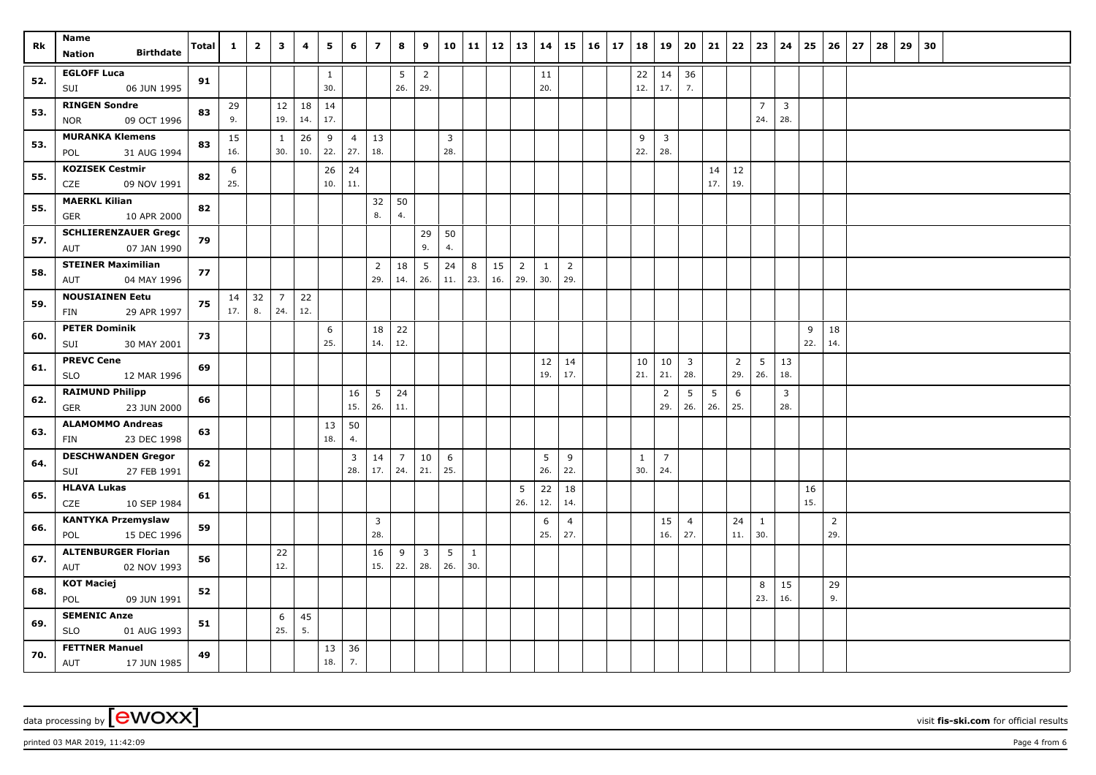| Rk  | Name<br><b>Birthdate</b><br>Nation                | <b>Total</b> | $\mathbf{1}$ | $\overline{2}$ | 3                     | 4         | 5                   | 6                     | $\overline{ }$        | 8                     | 9                     |                       | 10 11    | $12 \mid 13$ |                       | 14                  | 15                    | $16 \mid 17$ | 18                  | 19                    | 20                             | 21        | 22                    | 23                    | 24                    | 25        | 26                    | 27 | 28 | 29 | 30 |  |  |  |
|-----|---------------------------------------------------|--------------|--------------|----------------|-----------------------|-----------|---------------------|-----------------------|-----------------------|-----------------------|-----------------------|-----------------------|----------|--------------|-----------------------|---------------------|-----------------------|--------------|---------------------|-----------------------|--------------------------------|-----------|-----------------------|-----------------------|-----------------------|-----------|-----------------------|----|----|----|----|--|--|--|
| 52. | <b>EGLOFF Luca</b><br>06 JUN 1995<br>SUI          | 91           |              |                |                       |           | $\mathbf{1}$<br>30. |                       |                       | 5<br>26.              | $\overline{2}$<br>29. |                       |          |              |                       | 11<br>20.           |                       |              | 22<br>12.           | 14<br>17.             | 36<br>7.                       |           |                       |                       |                       |           |                       |    |    |    |    |  |  |  |
| 53. | <b>RINGEN Sondre</b><br><b>NOR</b><br>09 OCT 1996 | 83           | 29<br>9.     |                | 12<br>19.             | 18<br>14. | 14<br>17.           |                       |                       |                       |                       |                       |          |              |                       |                     |                       |              |                     |                       |                                |           |                       | $\overline{7}$<br>24. | $\overline{3}$<br>28. |           |                       |    |    |    |    |  |  |  |
| 53. | <b>MURANKA Klemens</b><br>31 AUG 1994<br>POL      | 83           | 15<br>16.    |                | $\mathbf{1}$<br>30.   | 26<br>10. | 9<br>22.            | $\overline{4}$<br>27. | 13<br>18.             |                       |                       | $\overline{3}$<br>28. |          |              |                       |                     |                       |              | 9<br>22.            | $\overline{3}$<br>28. |                                |           |                       |                       |                       |           |                       |    |    |    |    |  |  |  |
| 55. | <b>KOZISEK Cestmir</b><br>CZE<br>09 NOV 1991      | 82           | 6<br>25.     |                |                       |           | 26<br>10.           | 24<br>11.             |                       |                       |                       |                       |          |              |                       |                     |                       |              |                     |                       |                                | 14<br>17. | 12<br>19.             |                       |                       |           |                       |    |    |    |    |  |  |  |
| 55. | <b>MAERKL Kilian</b><br><b>GER</b><br>10 APR 2000 | 82           |              |                |                       |           |                     |                       | 32<br>8.              | 50<br>4.              |                       |                       |          |              |                       |                     |                       |              |                     |                       |                                |           |                       |                       |                       |           |                       |    |    |    |    |  |  |  |
| 57. | <b>SCHLIERENZAUER Grego</b><br>07 JAN 1990<br>AUT | 79           |              |                |                       |           |                     |                       |                       |                       | 29<br>9.              | 50<br>4.              |          |              |                       |                     |                       |              |                     |                       |                                |           |                       |                       |                       |           |                       |    |    |    |    |  |  |  |
| 58. | <b>STEINER Maximilian</b><br>AUT<br>04 MAY 1996   | 77           |              |                |                       |           |                     |                       | $\overline{2}$<br>29. | 18<br>14.             | 5<br>26.              | 24<br>11.             | 8<br>23. | 15<br>16.    | $\overline{2}$<br>29. | $\mathbf{1}$<br>30. | $\overline{2}$<br>29. |              |                     |                       |                                |           |                       |                       |                       |           |                       |    |    |    |    |  |  |  |
| 59. | <b>NOUSIAINEN Eetu</b><br>29 APR 1997<br>FIN      | 75           | 14<br>17.    | 32<br>8.       | $\overline{7}$<br>24. | 22<br>12. |                     |                       |                       |                       |                       |                       |          |              |                       |                     |                       |              |                     |                       |                                |           |                       |                       |                       |           |                       |    |    |    |    |  |  |  |
| 60. | <b>PETER Dominik</b><br>SUI<br>30 MAY 2001        | 73           |              |                |                       |           | 6<br>25.            |                       | 18<br>14.             | 22<br>12.             |                       |                       |          |              |                       |                     |                       |              |                     |                       |                                |           |                       |                       |                       | 9<br>22.  | 18<br>14.             |    |    |    |    |  |  |  |
| 61. | <b>PREVC Cene</b><br><b>SLO</b><br>12 MAR 1996    | 69           |              |                |                       |           |                     |                       |                       |                       |                       |                       |          |              |                       | 12<br>19.           | 14<br>17.             |              | 10<br>21.           | 10<br>21.             | $\overline{\mathbf{3}}$<br>28. |           | $\overline{2}$<br>29. | 5<br>26.              | 13<br>18.             |           |                       |    |    |    |    |  |  |  |
| 62. | <b>RAIMUND Philipp</b><br>23 JUN 2000<br>GER      | 66           |              |                |                       |           |                     | 16<br>15.             | 5<br>26.              | 24<br>11.             |                       |                       |          |              |                       |                     |                       |              |                     | $\overline{2}$<br>29. | 5<br>26.                       | 5<br>26.  | 6<br>25.              |                       | $\overline{3}$<br>28. |           |                       |    |    |    |    |  |  |  |
| 63. | <b>ALAMOMMO Andreas</b><br>23 DEC 1998<br>FIN     | 63           |              |                |                       |           | 13<br>18.           | 50<br>4.              |                       |                       |                       |                       |          |              |                       |                     |                       |              |                     |                       |                                |           |                       |                       |                       |           |                       |    |    |    |    |  |  |  |
| 64. | <b>DESCHWANDEN Gregor</b><br>27 FEB 1991<br>SUI   | 62           |              |                |                       |           |                     | $\overline{3}$<br>28. | 14<br>17.             | $\overline{7}$<br>24. | 10<br>21.             | 6<br>25.              |          |              |                       | 5<br>26.            | 9<br>22.              |              | $\mathbf{1}$<br>30. | $\overline{7}$<br>24. |                                |           |                       |                       |                       |           |                       |    |    |    |    |  |  |  |
| 65. | <b>HLAVA Lukas</b><br>CZE<br>10 SEP 1984          | 61           |              |                |                       |           |                     |                       |                       |                       |                       |                       |          |              | 5<br>26.              | 22<br>12.           | 18<br>14.             |              |                     |                       |                                |           |                       |                       |                       | 16<br>15. |                       |    |    |    |    |  |  |  |
| 66. | <b>KANTYKA Przemyslaw</b><br>15 DEC 1996<br>POL   | 59           |              |                |                       |           |                     |                       | $\mathbf{3}$<br>28.   |                       |                       |                       |          |              |                       | 6<br>25.            | $\overline{4}$<br>27. |              |                     | 15<br>16.             | $\overline{4}$<br>27.          |           | 24<br>11.             | $\mathbf{1}$<br>30.   |                       |           | $\overline{2}$<br>29. |    |    |    |    |  |  |  |
| 67. | <b>ALTENBURGER Florian</b><br>02 NOV 1993<br>AUT  | 56           |              |                | 22<br>12.             |           |                     |                       | 16<br>15.             | 9<br>22.              | $\overline{3}$<br>28. | 5<br>26.              | 1<br>30. |              |                       |                     |                       |              |                     |                       |                                |           |                       |                       |                       |           |                       |    |    |    |    |  |  |  |
| 68. | <b>KOT Maciej</b><br>POL<br>09 JUN 1991           | 52           |              |                |                       |           |                     |                       |                       |                       |                       |                       |          |              |                       |                     |                       |              |                     |                       |                                |           |                       | 8<br>23.              | 15<br>16.             |           | 29<br>9.              |    |    |    |    |  |  |  |
| 69. | <b>SEMENIC Anze</b><br><b>SLO</b><br>01 AUG 1993  | 51           |              |                | 6<br>25.              | 45<br>5.  |                     |                       |                       |                       |                       |                       |          |              |                       |                     |                       |              |                     |                       |                                |           |                       |                       |                       |           |                       |    |    |    |    |  |  |  |
| 70. | <b>FETTNER Manuel</b><br>AUT<br>17 JUN 1985       | 49           |              |                |                       |           | 13<br>18.           | 36<br>7.              |                       |                       |                       |                       |          |              |                       |                     |                       |              |                     |                       |                                |           |                       |                       |                       |           |                       |    |    |    |    |  |  |  |

data processing by **CWOXX** wisit **fis-ski.com** for official results

printed 03 MAR 2019, 11:42:09 **Page 4** from 6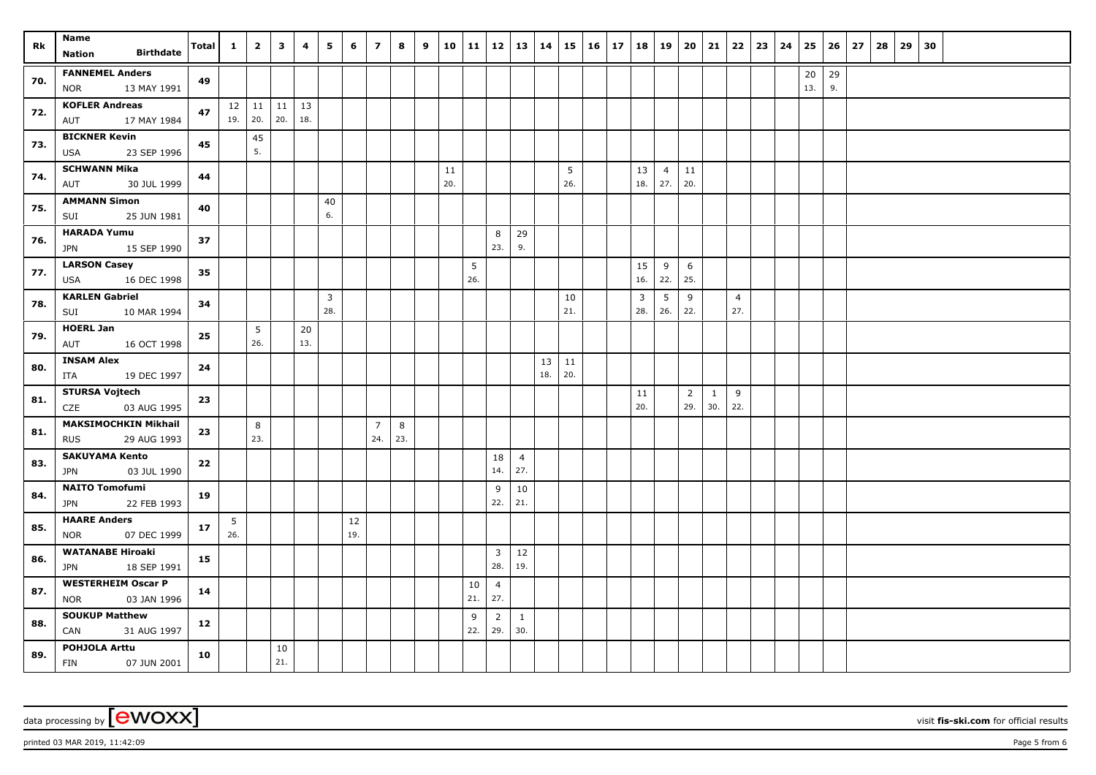| Rk  | Name                                                     | Total | $\mathbf{1}$ | $\overline{2}$              | $\overline{\mathbf{3}}$ | 4         | 5                              | 6         | $\overline{z}$        | 8        | 9 | 10        | 11   12   13   14 |                       |                       |           |           | $15 \mid 16 \mid 17$ | 18        | 19                    | 20                    | 21                  |                       | $22 \mid 23 \mid$ | 24 | 25        |          | $26 \mid 27$ | 28 | 29 | 30 |  |  |
|-----|----------------------------------------------------------|-------|--------------|-----------------------------|-------------------------|-----------|--------------------------------|-----------|-----------------------|----------|---|-----------|-------------------|-----------------------|-----------------------|-----------|-----------|----------------------|-----------|-----------------------|-----------------------|---------------------|-----------------------|-------------------|----|-----------|----------|--------------|----|----|----|--|--|
|     | <b>Birthdate</b><br>Nation                               |       |              |                             |                         |           |                                |           |                       |          |   |           |                   |                       |                       |           |           |                      |           |                       |                       |                     |                       |                   |    |           |          |              |    |    |    |  |  |
| 70. | <b>FANNEMEL Anders</b><br>13 MAY 1991<br><b>NOR</b>      | 49    |              |                             |                         |           |                                |           |                       |          |   |           |                   |                       |                       |           |           |                      |           |                       |                       |                     |                       |                   |    | 20<br>13. | 29<br>9. |              |    |    |    |  |  |
| 72. | <b>KOFLER Andreas</b><br>17 MAY 1984<br>AUT              | 47    |              | $12$   11   11  <br>19. 20. | 20.                     | 13<br>18. |                                |           |                       |          |   |           |                   |                       |                       |           |           |                      |           |                       |                       |                     |                       |                   |    |           |          |              |    |    |    |  |  |
| 73. | <b>BICKNER Kevin</b><br>23 SEP 1996<br>USA               | 45    |              | 45<br>5.                    |                         |           |                                |           |                       |          |   |           |                   |                       |                       |           |           |                      |           |                       |                       |                     |                       |                   |    |           |          |              |    |    |    |  |  |
| 74. | <b>SCHWANN Mika</b><br>30 JUL 1999<br>AUT                | 44    |              |                             |                         |           |                                |           |                       |          |   | 11<br>20. |                   |                       |                       |           | 5<br>26.  |                      | 13<br>18. | $\overline{4}$<br>27. | 11<br>20.             |                     |                       |                   |    |           |          |              |    |    |    |  |  |
| 75. | <b>AMMANN Simon</b><br>SUI<br>25 JUN 1981                | 40    |              |                             |                         |           | 40<br>6.                       |           |                       |          |   |           |                   |                       |                       |           |           |                      |           |                       |                       |                     |                       |                   |    |           |          |              |    |    |    |  |  |
| 76. | <b>HARADA Yumu</b><br>15 SEP 1990<br><b>JPN</b>          | 37    |              |                             |                         |           |                                |           |                       |          |   |           |                   | 8<br>23.              | 29<br>9.              |           |           |                      |           |                       |                       |                     |                       |                   |    |           |          |              |    |    |    |  |  |
| 77. | <b>LARSON Casey</b><br>16 DEC 1998<br>USA                | 35    |              |                             |                         |           |                                |           |                       |          |   |           | 5<br>26.          |                       |                       |           |           |                      | 15<br>16. | 9<br>22.              | 6<br>25.              |                     |                       |                   |    |           |          |              |    |    |    |  |  |
| 78. | <b>KARLEN Gabriel</b><br>10 MAR 1994<br>SUI              | 34    |              |                             |                         |           | $\overline{\mathbf{3}}$<br>28. |           |                       |          |   |           |                   |                       |                       |           | 10<br>21. |                      | 3<br>28.  | 5<br>26.              | 9<br>22.              |                     | $\overline{4}$<br>27. |                   |    |           |          |              |    |    |    |  |  |
| 79. | <b>HOERL Jan</b><br>AUT<br>16 OCT 1998                   | 25    |              | 5 <sup>5</sup><br>26.       |                         | 20<br>13. |                                |           |                       |          |   |           |                   |                       |                       |           |           |                      |           |                       |                       |                     |                       |                   |    |           |          |              |    |    |    |  |  |
| 80. | <b>INSAM Alex</b><br>19 DEC 1997<br>ITA                  | 24    |              |                             |                         |           |                                |           |                       |          |   |           |                   |                       |                       | 13<br>18. | 11<br>20. |                      |           |                       |                       |                     |                       |                   |    |           |          |              |    |    |    |  |  |
| 81. | <b>STURSA Vojtech</b><br>CZE<br>03 AUG 1995              | 23    |              |                             |                         |           |                                |           |                       |          |   |           |                   |                       |                       |           |           |                      | 11<br>20. |                       | $\overline{2}$<br>29. | $\mathbf{1}$<br>30. | 9<br>22.              |                   |    |           |          |              |    |    |    |  |  |
| 81. | <b>MAKSIMOCHKIN Mikhail</b><br>29 AUG 1993<br><b>RUS</b> | 23    |              | 8<br>23.                    |                         |           |                                |           | $\overline{7}$<br>24. | 8<br>23. |   |           |                   |                       |                       |           |           |                      |           |                       |                       |                     |                       |                   |    |           |          |              |    |    |    |  |  |
| 83. | <b>SAKUYAMA Kento</b><br>03 JUL 1990<br>JPN              | 22    |              |                             |                         |           |                                |           |                       |          |   |           |                   | 18<br>14.             | $\overline{4}$<br>27. |           |           |                      |           |                       |                       |                     |                       |                   |    |           |          |              |    |    |    |  |  |
| 84. | <b>NAITO Tomofumi</b><br>22 FEB 1993<br><b>JPN</b>       | 19    |              |                             |                         |           |                                |           |                       |          |   |           |                   | 9<br>22.              | 10<br>21.             |           |           |                      |           |                       |                       |                     |                       |                   |    |           |          |              |    |    |    |  |  |
| 85. | <b>HAARE Anders</b><br>07 DEC 1999<br>NOR                | 17    | 5<br>26.     |                             |                         |           |                                | 12<br>19. |                       |          |   |           |                   |                       |                       |           |           |                      |           |                       |                       |                     |                       |                   |    |           |          |              |    |    |    |  |  |
| 86. | <b>WATANABE Hiroaki</b><br>18 SEP 1991<br>JPN            | 15    |              |                             |                         |           |                                |           |                       |          |   |           |                   | $\overline{3}$<br>28. | 12<br>19.             |           |           |                      |           |                       |                       |                     |                       |                   |    |           |          |              |    |    |    |  |  |
| 87. | <b>WESTERHEIM Oscar P</b><br><b>NOR</b><br>03 JAN 1996   | 14    |              |                             |                         |           |                                |           |                       |          |   |           | 10<br>21.         | $\overline{4}$<br>27. |                       |           |           |                      |           |                       |                       |                     |                       |                   |    |           |          |              |    |    |    |  |  |
| 88. | <b>SOUKUP Matthew</b><br>CAN<br>31 AUG 1997              | 12    |              |                             |                         |           |                                |           |                       |          |   |           | 9<br>22.          | $\overline{2}$<br>29. | $\mathbf{1}$<br>30.   |           |           |                      |           |                       |                       |                     |                       |                   |    |           |          |              |    |    |    |  |  |
| 89. | POHJOLA Arttu<br><b>FIN</b><br>07 JUN 2001               | 10    |              |                             | 10<br>21.               |           |                                |           |                       |          |   |           |                   |                       |                       |           |           |                      |           |                       |                       |                     |                       |                   |    |           |          |              |    |    |    |  |  |

data processing by **CWOXX** wisit **fis-ski.com** for official results

printed 03 MAR 2019, 11:42:09 **Page 5** from 6